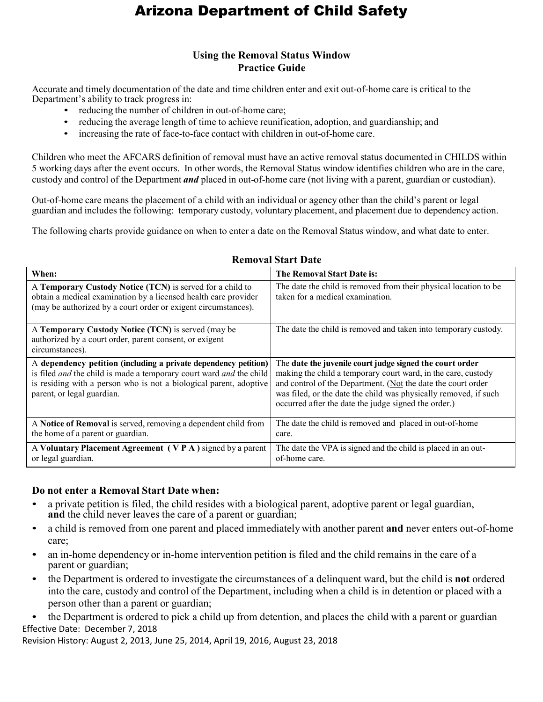# Arizona Department of Child Safety

## **Using the Removal Status Window Practice Guide**

Accurate and timely documentation of the date and time children enter and exit out-of-home care is critical to the Department's ability to track progress in:

- reducing the number of children in out-of-home care;
- reducing the average length of time to achieve reunification, adoption, and guardianship; and
- increasing the rate of face-to-face contact with children in out-of-home care.

Children who meet the AFCARS definition of removal must have an active removal status documented in CHILDS within 5 working days after the event occurs. In other words, the Removal Status window identifies children who are in the care, custody and control of the Department *and* placed in out-of-home care (not living with a parent, guardian or custodian).

Out-of-home care means the placement of a child with an individual or agency other than the child's parent or legal guardian and includes the following: temporary custody, voluntary placement, and placement due to dependency action.

The following charts provide guidance on when to enter a date on the Removal Status window, and what date to enter.

| When:                                                                                                                                                                                                                                      | The Removal Start Date is:                                                                                                                                                                                                                                                                                            |
|--------------------------------------------------------------------------------------------------------------------------------------------------------------------------------------------------------------------------------------------|-----------------------------------------------------------------------------------------------------------------------------------------------------------------------------------------------------------------------------------------------------------------------------------------------------------------------|
| A Temporary Custody Notice (TCN) is served for a child to<br>obtain a medical examination by a licensed health care provider<br>(may be authorized by a court order or exigent circumstances).                                             | The date the child is removed from their physical location to be<br>taken for a medical examination.                                                                                                                                                                                                                  |
| A Temporary Custody Notice (TCN) is served (may be<br>authorized by a court order, parent consent, or exigent<br>circumstances).                                                                                                           | The date the child is removed and taken into temporary custody.                                                                                                                                                                                                                                                       |
| A dependency petition (including a private dependency petition)<br>is filed and the child is made a temporary court ward and the child<br>is residing with a person who is not a biological parent, adoptive<br>parent, or legal guardian. | The date the juvenile court judge signed the court order<br>making the child a temporary court ward, in the care, custody<br>and control of the Department. (Not the date the court order<br>was filed, or the date the child was physically removed, if such<br>occurred after the date the judge signed the order.) |
| A Notice of Removal is served, removing a dependent child from<br>the home of a parent or guardian.                                                                                                                                        | The date the child is removed and placed in out-of-home<br>care.                                                                                                                                                                                                                                                      |
| A Voluntary Placement Agreement (VPA) signed by a parent<br>or legal guardian.                                                                                                                                                             | The date the VPA is signed and the child is placed in an out-<br>of-home care.                                                                                                                                                                                                                                        |

#### **Removal Start Date**

#### **Do not enter a Removal Start Date when:**

- a private petition is filed, the child resides with a biological parent, adoptive parent or legal guardian, **and** the child never leaves the care of a parent or guardian;
- a child is removed from one parent and placed immediately with another parent **and** never enters out-of-home care;
- an in-home dependency or in-home intervention petition is filed and the child remains in the care of a parent or guardian;
- the Department is ordered to investigate the circumstances of a delinquent ward, but the child is **not** ordered into the care, custody and control of the Department, including when a child is in detention or placed with a person other than a parent or guardian;

Effective Date: December 7, 2018 • the Department is ordered to pick a child up from detention, and places the child with a parent or guardian

Revision History: August 2, 2013, June 25, 2014, April 19, 2016, August 23, 2018